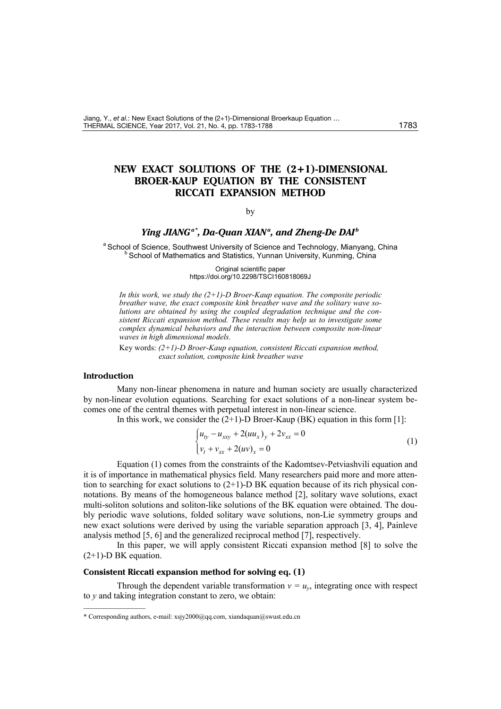Jiang, Y., *et al.*: New Exact Solutions of the (2+1)-Dimensional Broerkaup Equation … THERMAL SCIENCE, Year 2017, Vol. 21, No. 4, pp[. 1783](#page-0-0)[-1788](#page-5-0) 1783 1783

# **NEW EXACT SOLUTIONS OF THE (2+1)-DIMENSIONAL BROER-KAUP EQUATION BY THE CONSISTENT RICCATI EXPANSION METHOD**

#### <span id="page-0-0"></span>by

## Ying JIANG<sup>a[\\*](#page-0-1)</sup>, Da-Quan XIAN<sup>a</sup>, and Zheng-De DAI<sup>b</sup>

<sup>a</sup> School of Science, Southwest University of Science and Technology, Mianyang, China<br><sup>b</sup> School of Mathematics and Statistics, Yunnan University, Kunming, China

Original scientific paper https://doi.org/10.2298/TSCI160818069J

*In this work, we study the (2+1)-D Broer-Kaup equation. The composite periodic breather wave, the exact composite kink breather wave and the solitary wave solutions are obtained by using the coupled degradation technique and the consistent Riccati expansion method. These results may help us to investigate some complex dynamical behaviors and the interaction between composite non-linear waves in high dimensional models.* 

Key words: *(2+1)-D Broer-Kaup equation, consistent Riccati expansion method, exact solution, composite kink breather wave*

### **Introduction**

––––––––––––––

Many non-linear phenomena in nature and human society are usually characterized by non-linear evolution equations. Searching for exact solutions of a non-linear system becomes one of the central themes with perpetual interest in non-linear science.

In this work, we consider the  $(2+1)$ -D Broer-Kaup (BK) equation in this form [1]:

$$
\begin{cases} u_{ty} - u_{xxy} + 2(uu_x)_y + 2v_{xx} = 0 \\ v_t + v_{xx} + 2(uv)_x = 0 \end{cases}
$$
 (1)

Equation (1) comes from the constraints of the Kadomtsev-Petviashvili equation and it is of importance in mathematical physics field. Many researchers paid more and more attention to searching for exact solutions to  $(2+1)$ -D BK equation because of its rich physical connotations. By means of the homogeneous balance method [2], solitary wave solutions, exact multi-soliton solutions and soliton-like solutions of the BK equation were obtained. The doubly periodic wave solutions, folded solitary wave solutions, non-Lie symmetry groups and new exact solutions were derived by using the variable separation approach [3, 4], Painleve analysis method [5, 6] and the generalized reciprocal method [7], respectively.

In this paper, we will apply consistent Riccati expansion method [8] to solve the  $(2+1)$ -D BK equation.

### **Consistent Riccati expansion method for solving eq. (1)**

Through the dependent variable transformation  $v = u_v$ , integrating once with respect to *y* and taking integration constant to zero, we obtain:

<span id="page-0-1"></span><sup>\*</sup> Corresponding authors, e-mail[: xsjy2000@qq.com,](mailto:xsjy2000@qq.com) [xiandaquan@swust.edu.cn](mailto:xiandaquan@swust.edu.cn)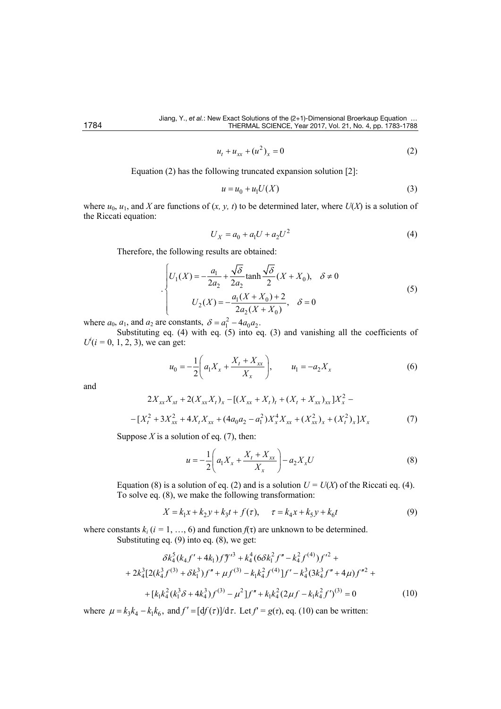$$
u_t + u_{xx} + (u^2)_x = 0
$$
 (2)

Equation (2) has the following truncated expansion solution [2]:

$$
u = u_0 + u_1 U(X) \tag{3}
$$

where  $u_0$ ,  $u_1$ , and *X* are functions of  $(x, y, t)$  to be determined later, where  $U(X)$  is a solution of the Riccati equation:

$$
U_X = a_0 + a_1 U + a_2 U^2 \tag{4}
$$

Therefore, the following results are obtained:

$$
\begin{cases}\nU_1(X) = -\frac{a_1}{2a_2} + \frac{\sqrt{\delta}}{2a_2} \tanh \frac{\sqrt{\delta}}{2} (X + X_0), & \delta \neq 0 \\
U_2(X) = -\frac{a_1(X + X_0) + 2}{2a_2(X + X_0)}, & \delta = 0\n\end{cases}
$$
\n(5)

where  $a_0$ ,  $a_1$ , and  $a_2$  are constants,  $\delta = a_1^2 - 4a_0 a_2$ .

Substituting eq. (4) with eq. (5) into eq. (3) and vanishing all the coefficients of  $U^{i}$ ( $i = 0, 1, 2, 3$ ), we can get:

$$
u_0 = -\frac{1}{2} \left( a_1 X_x + \frac{X_t + X_{xx}}{X_x} \right), \qquad u_1 = -a_2 X_x \tag{6}
$$

and

$$
2X_{xx}X_{xt} + 2(X_{xx}X_t)_x - [(X_{xx} + X_t)_t + (X_t + X_{xx})_{xx}]X_x^2 -
$$
  

$$
-[X_t^2 + 3X_{xx}^2 + 4X_tX_{xx} + (4a_0a_2 - a_1^2)X_x^4X_{xx} + (X_{xx}^2)_x + (X_t^2)_x]X_x
$$
 (7)

Suppose  $X$  is a solution of eq.  $(7)$ , then:

$$
u = -\frac{1}{2} \left( a_1 X_x + \frac{X_t + X_{xx}}{X_x} \right) - a_2 X_x U \tag{8}
$$

Equation (8) is a solution of eq. (2) and is a solution  $U = U(X)$  of the Riccati eq. (4). To solve eq. (8), we make the following transformation:

$$
X = k_1 x + k_2 y + k_3 t + f(\tau), \qquad \tau = k_4 x + k_5 y + k_6 t \tag{9}
$$

where constants  $k_i$  ( $i = 1, ..., 6$ ) and function  $f(\tau)$  are unknown to be determined. Substituting eq. (9) into eq. (8), we get:

$$
\delta k_4^5 (k_4 f' + 4k_1) f''^{3} + k_4^4 (6 \delta k_1^2 f'' - k_4^2 f^{(4)}) f'^2 +
$$
  
+ 
$$
2k_4^3 [2(k_4^3 f^{(3)} + \delta k_1^3) f'' + \mu f^{(3)} - k_1 k_4^2 f^{(4)}] f' - k_4^3 (3k_4^3 f'' + 4\mu) f''^2 +
$$
  
+ 
$$
[k_1 k_4^2 (k_1^3 \delta + 4k_4^3) f^{(3)} - \mu^2] f'' + k_1 k_4^2 (2\mu f - k_1 k_4^2 f')^{(3)} = 0
$$
 (10)

where  $\mu = k_3 k_4 - k_1 k_6$ , and  $f' = [df(\tau)]/d\tau$ . Let  $f' = g(\tau)$ , eq. (10) can be written: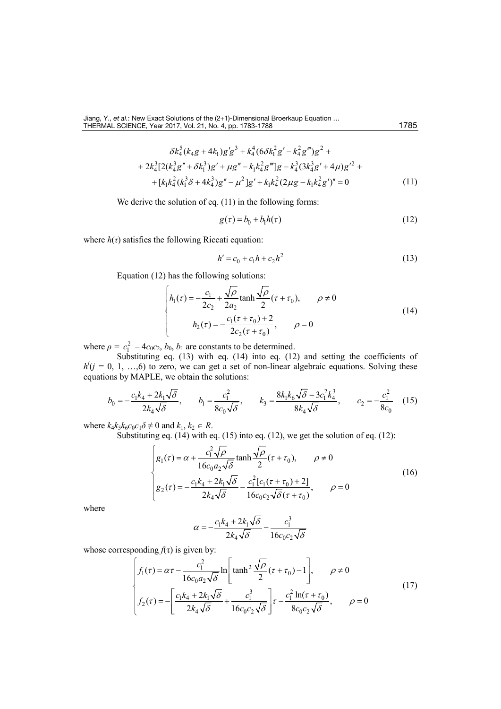$$
\delta k_4^5 (k_4 g + 4 k_1) g' g^3 + k_4^4 (6 \delta k_1^2 g' - k_4^2 g''') g^2 ++ 2 k_4^3 [2 (k_4^3 g'' + \delta k_1^3) g' + \mu g'' - k_1 k_4^2 g'''] g - k_4^3 (3 k_4^3 g' + 4 \mu) g'^2 ++ [k_1 k_4^2 (k_1^3 \delta + 4 k_4^3) g'' - \mu^2] g' + k_1 k_4^2 (2 \mu g - k_1 k_4^2 g'')'' = 0
$$
\n(11)

We derive the solution of eq. (11) in the following forms:

$$
g(\tau) = b_0 + b_1 h(\tau) \tag{12}
$$

where  $h(\tau)$  satisfies the following Riccati equation:

$$
h' = c_0 + c_1 h + c_2 h^2 \tag{13}
$$

Equation (12) has the following solutions:

$$
\begin{cases}\n h_1(\tau) = -\frac{c_1}{2c_2} + \frac{\sqrt{\rho}}{2a_2} \tanh \frac{\sqrt{\rho}}{2} (\tau + \tau_0), & \rho \neq 0 \\
 h_2(\tau) = -\frac{c_1(\tau + \tau_0) + 2}{2c_2(\tau + \tau_0)}, & \rho = 0\n\end{cases}
$$
\n(14)

where  $\rho = c_1^2 - 4c_0c_2$ ,  $b_0$ ,  $b_1$  are constants to be determined.

Substituting eq. (13) with eq. (14) into eq. (12) and setting the coefficients of  $h(j = 0, 1, ..., 6)$  to zero, we can get a set of non-linear algebraic equations. Solving these equations by MAPLE, we obtain the solutions:

$$
b_0 = -\frac{c_1 k_4 + 2k_1 \sqrt{\delta}}{2k_4 \sqrt{\delta}}, \qquad b_1 = \frac{c_1^2}{8c_0 \sqrt{\delta}}, \qquad k_3 = \frac{8k_1 k_6 \sqrt{\delta} - 3c_1^2 k_4^3}{8k_4 \sqrt{\delta}}, \qquad c_2 = -\frac{c_1^2}{8c_0} \tag{15}
$$

where  $k_4k_5k_6c_0c_1\delta \neq 0$  and  $k_1, k_2 \in R$ .

Substituting eq. (14) with eq. (15) into eq. (12), we get the solution of eq. (12):

$$
\begin{cases}\ng_1(\tau) = \alpha + \frac{c_1^2 \sqrt{\rho}}{16c_0 a_2 \sqrt{\delta}} \tanh \frac{\sqrt{\rho}}{2} (\tau + \tau_0), & \rho \neq 0 \\
g_2(\tau) = -\frac{c_1 k_4 + 2k_1 \sqrt{\delta}}{2k_4 \sqrt{\delta}} - \frac{c_1^2 [c_1(\tau + \tau_0) + 2]}{16c_0 c_2 \sqrt{\delta} (\tau + \tau_0)}, & \rho = 0\n\end{cases}
$$
\n(16)

where

$$
\alpha = -\frac{c_1 k_4 + 2k_1 \sqrt{\delta}}{2k_4 \sqrt{\delta}} - \frac{c_1^3}{16c_0 c_2 \sqrt{\delta}}
$$

whose corresponding  $f(\tau)$  is given by:

$$
\begin{cases}\nf_1(\tau) = \alpha \tau - \frac{c_1^2}{16c_0 a_2 \sqrt{\delta}} \ln \left[ \tanh^2 \frac{\sqrt{\rho}}{2} (\tau + \tau_0) - 1 \right], & \rho \neq 0 \\
f_2(\tau) = - \left[ \frac{c_1 k_4 + 2k_1 \sqrt{\delta}}{2k_4 \sqrt{\delta}} + \frac{c_1^3}{16c_0 c_2 \sqrt{\delta}} \right] \tau - \frac{c_1^2 \ln(\tau + \tau_0)}{8c_0 c_2 \sqrt{\delta}}, & \rho = 0\n\end{cases}
$$
\n(17)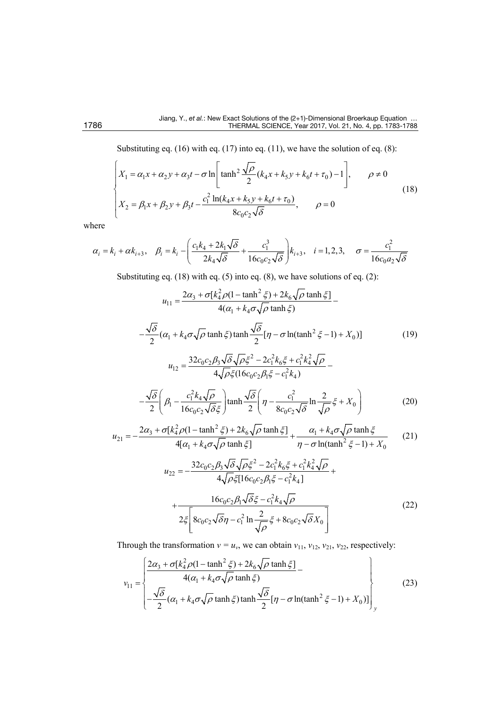Substituting eq. (16) with eq. (17) into eq. (11), we have the solution of eq. (8):

$$
\begin{cases}\nX_1 = \alpha_1 x + \alpha_2 y + \alpha_3 t - \sigma \ln \left[ \tanh^2 \frac{\sqrt{\rho}}{2} (k_4 x + k_5 y + k_6 t + \tau_0) - 1 \right], & \rho \neq 0 \\
X_2 = \beta_1 x + \beta_2 y + \beta_3 t - \frac{c_1^2 \ln(k_4 x + k_5 y + k_6 t + \tau_0)}{8c_0 c_2 \sqrt{\delta}}, & \rho = 0\n\end{cases}
$$
\n(18)

where

$$
\alpha_i = k_i + \alpha k_{i+3}, \quad \beta_i = k_i - \left(\frac{c_1 k_4 + 2k_1 \sqrt{\delta}}{2k_4 \sqrt{\delta}} + \frac{c_1^3}{16c_0 c_2 \sqrt{\delta}}\right) k_{i+3}, \quad i = 1, 2, 3, \quad \sigma = \frac{c_1^2}{16c_0 a_2 \sqrt{\delta}}
$$

Substituting eq. (18) with eq. (5) into eq. (8), we have solutions of eq. (2):

$$
u_{11} = \frac{2\alpha_3 + \sigma[k_4^2 \rho (1 - \tanh^2 \xi) + 2k_6 \sqrt{\rho} \tanh \xi]}{4(\alpha_1 + k_4 \sigma \sqrt{\rho} \tanh \xi)} - \frac{\sqrt{\delta}}{2} (\alpha_1 + k_4 \sigma \sqrt{\rho} \tanh \xi) \tanh \frac{\sqrt{\delta}}{2} [\eta - \sigma \ln(\tanh^2 \xi - 1) + X_0)] \t\t(19)
$$
  

$$
u_{12} = \frac{32c_0c_2\beta_3\sqrt{\delta}\sqrt{\rho\xi^2 - 2c_1^2k_6\xi + c_1^2k_4^2\sqrt{\rho}}}{4\sqrt{\rho\xi}(16c_0c_2\beta_1\xi - c_1^2k_4)} - \frac{\sqrt{\delta}}{2} (\beta_1 - \frac{c_1^2k_4\sqrt{\rho}}{16c_0c_2\sqrt{\delta}\xi}) \tanh \frac{\sqrt{\delta}}{2} (\eta - \frac{c_1^2}{8c_0c_2\sqrt{\delta}} \ln \frac{2}{\sqrt{\rho}}\xi + X_0)
$$
(20)

$$
u_{21} = -\frac{2\alpha_3 + \sigma[k_4^2 \rho (1 - \tanh^2 \xi) + 2k_6 \sqrt{\rho} \tanh \xi]}{4[\alpha_1 + k_4 \sigma \sqrt{\rho} \tanh \xi]} + \frac{\alpha_1 + k_4 \sigma \sqrt{\rho} \tanh \xi}{\eta - \sigma \ln(\tanh^2 \xi - 1) + X_0}
$$
(21)

$$
u_{22} = -\frac{32c_0c_2\beta_3\sqrt{\delta}\sqrt{\rho}\xi^2 - 2c_1^2k_6\xi + c_1^2k_4^2\sqrt{\rho}}{4\sqrt{\rho}\xi[16c_0c_2\beta_1\xi - c_1^2k_4]} + \frac{16c_0c_2\beta_1\sqrt{\delta}\xi - c_1^2k_4\sqrt{\rho}}{2\xi\left[8c_0c_2\sqrt{\delta}\eta - c_1^2\ln\frac{2}{\sqrt{\rho}}\xi + 8c_0c_2\sqrt{\delta}X_0\right]}
$$
(22)

Through the transformation  $v = u_v$ , we can obtain  $v_{11}$ ,  $v_{12}$ ,  $v_{21}$ ,  $v_{22}$ , respectively:

$$
v_{11} = \begin{cases} \frac{2\alpha_3 + \sigma[k_4^2 \rho (1 - \tanh^2 \xi) + 2k_6 \sqrt{\rho} \tanh \xi]}{4(\alpha_1 + k_4 \sigma \sqrt{\rho} \tanh \xi)} - \\ -\frac{\sqrt{\delta}}{2} (\alpha_1 + k_4 \sigma \sqrt{\rho} \tanh \xi) \tanh \frac{\sqrt{\delta}}{2} [\eta - \sigma \ln(\tanh^2 \xi - 1) + X_0)] \end{cases}
$$
(23)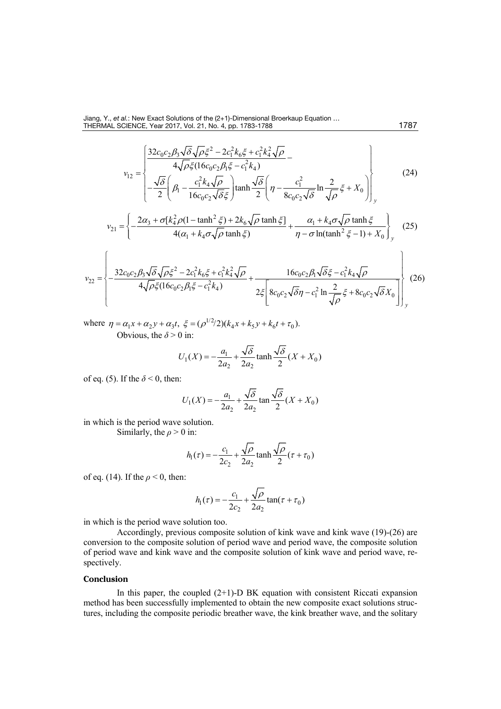Jiang, Y., *et al.*: New Exact Solutions of the (2+1)-Dimensional Broerkaup Equation … THERMAL SCIENCE, Year 2017, Vol. 21, No. 4, pp[. 1783](#page-0-0)[-1788](#page-5-0) 1787 1787

$$
v_{12} = \begin{cases} \frac{32c_0c_2\beta_3\sqrt{\delta}\sqrt{\rho}\xi^2 - 2c_1^2k_6\xi + c_1^2k_4^2\sqrt{\rho}}{4\sqrt{\rho}\xi(16c_0c_2\beta_1\xi - c_1^2k_4)} - \frac{\sqrt{\delta}}{2}\left(\beta_1 - \frac{c_1^2k_4\sqrt{\rho}}{16c_0c_2\sqrt{\delta}\xi}\right)\tanh\frac{\sqrt{\delta}}{2}\left(\eta - \frac{c_1^2}{8c_0c_2\sqrt{\delta}}\ln\frac{2}{\sqrt{\rho}}\xi + X_0\right) \end{cases}
$$
(24)

$$
v_{21} = \left\{ -\frac{2\alpha_3 + \sigma [k_4^2 \rho (1 - \tanh^2 \xi) + 2k_6 \sqrt{\rho} \tanh \xi]}{4(\alpha_1 + k_4 \sigma \sqrt{\rho} \tanh \xi)} + \frac{\alpha_1 + k_4 \sigma \sqrt{\rho} \tanh \xi}{\eta - \sigma \ln(\tanh^2 \xi - 1) + X_0} \right\}_y
$$
(25)

$$
v_{22} = \left\{ -\frac{32c_0c_2\beta_3\sqrt{\delta}\sqrt{\rho}\xi^2 - 2c_1^2k_6\xi + c_1^2k_4^2\sqrt{\rho}}{4\sqrt{\rho}\xi(16c_0c_2\beta_1\xi - c_1^2k_4)} + \frac{16c_0c_2\beta_1\sqrt{\delta}\xi - c_1^2k_4\sqrt{\rho}}{2\xi\left[8c_0c_2\sqrt{\delta}\eta - c_1^2\ln\frac{2}{\sqrt{\rho}}\xi + 8c_0c_2\sqrt{\delta}X_0\right]} \right\}_y
$$
(26)

where  $\eta = \alpha_1 x + \alpha_2 y + \alpha_3 t$ ,  $\xi = (\rho^{1/2}/2)(k_4 x + k_5 y + k_6 t + \tau_0)$ . [Obvious,](javascript:void(0);) the  $\delta$  > 0 in:

$$
U_1(X) = -\frac{a_1}{2a_2} + \frac{\sqrt{\delta}}{2a_2} \tanh \frac{\sqrt{\delta}}{2} (X + X_0)
$$

of eq. (5). If the  $\delta$  < 0, then:

$$
U_1(X) = -\frac{a_1}{2a_2} + \frac{\sqrt{\delta}}{2a_2} \tan \frac{\sqrt{\delta}}{2} (X + X_0)
$$

in which is the [period](javascript:void(0);) wave solution.

[Similarly,](javascript:void(0);) the  $\rho > 0$  in:

$$
h_1(\tau) = -\frac{c_1}{2c_2} + \frac{\sqrt{\rho}}{2a_2} \tanh \frac{\sqrt{\rho}}{2} (\tau + \tau_0)
$$

of eq. (14). If the *ρ* < 0, then:

$$
h_1(\tau) = -\frac{c_1}{2c_2} + \frac{\sqrt{\rho}}{2a_2} \tan(\tau + \tau_0)
$$

in which is the [period](javascript:void(0);) wave solution too.

[Accordingly,](javascript:void(0);) previous [composite](javascript:void(0);) solution of [kink](javascript:void(0);) wave and [kink](javascript:void(0);) wave (19)-(26) are conversion to the [composite](javascript:void(0);) solution of [period](javascript:void(0);) wave and [period](javascript:void(0);) wave, the [composite](javascript:void(0);) solution of [period](javascript:void(0);) wave and [kink](javascript:void(0);) wave and the [composite](javascript:void(0);) solution of [kink](javascript:void(0);) wave and [period](javascript:void(0);) wave, respectively.

### **Conclusion**

In this paper, the coupled  $(2+1)$ -D BK equation with consistent Riccati expansion method has been successfully implemented to obtain the new composite exact solutions structures, including the composite periodic breather wave, the kink breather wave, and the solitary